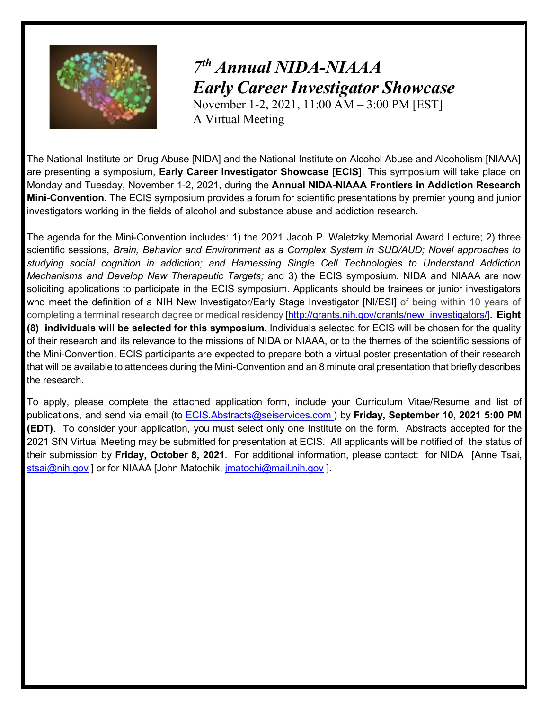

## *7th Annual NIDA-NIAAA Early CareerInvestigator Showcase*

November 1-2, 2021, 11:00 AM – 3:00 PM [EST] A Virtual Meeting

The National Institute on Drug Abuse [NIDA] and the National Institute on Alcohol Abuse and Alcoholism [NIAAA] are presenting a symposium, **Early Career Investigator Showcase [ECIS]**. This symposium will take place on Monday and Tuesday, November 1-2, 2021, during the **Annual NIDA-NIAAA Frontiers in Addiction Research Mini-Convention**. The ECIS symposium provides a forum for scientific presentations by premier young and junior investigators working in the fields of alcohol and substance abuse and addiction research.

The agenda for the Mini-Convention includes: 1) the 2021 Jacob P. Waletzky Memorial Award Lecture; 2) three scientific sessions, *Brain, Behavior and Environment as a Complex System in SUD/AUD; Novel approaches to studying social cognition in addiction; and Harnessing Single Cell Technologies to Understand Addiction Mechanisms and Develop New Therapeutic Targets;* and 3) the ECIS symposium. NIDA and NIAAA are now soliciting applications to participate in the ECIS symposium. Applicants should be trainees or junior investigators who meet the definition of a NIH New Investigator/Early Stage Investigator [NI/ESI] of being within 10 years of completing a terminal research degree or medical residency [\[http://grants.nih.gov/grants/new\\_investigators/\]](http://grants.nih.gov/grants/new_investigators/)**. Eight (8) individuals will be selected for this symposium.** Individuals selected for ECIS will be chosen for the quality of their research and its relevance to the missions of NIDA or NIAAA, or to the themes of the scientific sessions of the Mini-Convention. ECIS participants are expected to prepare both a virtual poster presentation of their research that will be available to attendees during the Mini-Convention and an 8 minute oral presentation that briefly describes the research.

To apply, please complete the attached application form, include your Curriculum Vitae/Resume and list of publications, and send via email (to [ECIS.Abstracts@seiservices.com](mailto:ECIS.Abstracts@seiservices.com) ) by **Friday, September 10, 2021 5:00 PM (EDT)**. To consider your application, you must select only one Institute on the form. Abstracts accepted for the 2021 SfN Virtual Meeting may be submitted for presentation at ECIS. All applicants will be notified of the status of their submission by **Friday, October 8, 2021**. For additional information, please contact: for NIDA [Anne Tsai, [stsai@nih.gov](mailto:stsai@nih.gov) ] or for NIAAA [John Matochik, <u>jmatochi</u>@mail.nih.gov ].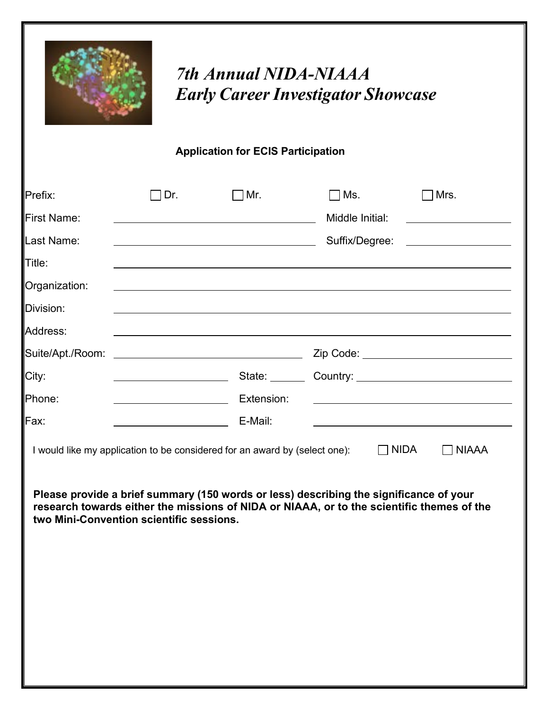

## *7th Annual NIDA-NIAAA Early CareerInvestigator Showcase*

## **Application for ECIS Participation**

| Prefix:                                  | Dr.                                     | ∃Mr.                                                                       | Ms.                                                                                                                                                                                                | Mrs.                                                    |
|------------------------------------------|-----------------------------------------|----------------------------------------------------------------------------|----------------------------------------------------------------------------------------------------------------------------------------------------------------------------------------------------|---------------------------------------------------------|
| <b>First Name:</b>                       |                                         |                                                                            | Middle Initial:                                                                                                                                                                                    |                                                         |
| Last Name:                               |                                         |                                                                            | Suffix/Degree:                                                                                                                                                                                     |                                                         |
| Title:                                   |                                         |                                                                            |                                                                                                                                                                                                    |                                                         |
| Organization:                            |                                         |                                                                            |                                                                                                                                                                                                    |                                                         |
| Division:                                |                                         |                                                                            |                                                                                                                                                                                                    |                                                         |
| Address:                                 |                                         |                                                                            |                                                                                                                                                                                                    |                                                         |
| Suite/Apt./Room:                         |                                         |                                                                            |                                                                                                                                                                                                    | Zip Code: _______________________________               |
| City:                                    | <u> 1990 - Johann Barbara, martin a</u> |                                                                            | State: Country: 2000 Country:                                                                                                                                                                      |                                                         |
| Phone:                                   | <u> 1980 - Johann Barbara, martin a</u> | Extension:                                                                 |                                                                                                                                                                                                    |                                                         |
| Fax:                                     |                                         | E-Mail:                                                                    |                                                                                                                                                                                                    | <u> 1980 - Johann Barnett, fransk politik (d. 1980)</u> |
| two Mini-Convention scientific sessions. |                                         | I would like my application to be considered for an award by (select one): | $\Box$ NIDA<br>Please provide a brief summary (150 words or less) describing the significance of your<br>research towards either the missions of NIDA or NIAAA, or to the scientific themes of the | <b>NIAAA</b>                                            |
|                                          |                                         |                                                                            |                                                                                                                                                                                                    |                                                         |
|                                          |                                         |                                                                            |                                                                                                                                                                                                    |                                                         |
|                                          |                                         |                                                                            |                                                                                                                                                                                                    |                                                         |
|                                          |                                         |                                                                            |                                                                                                                                                                                                    |                                                         |